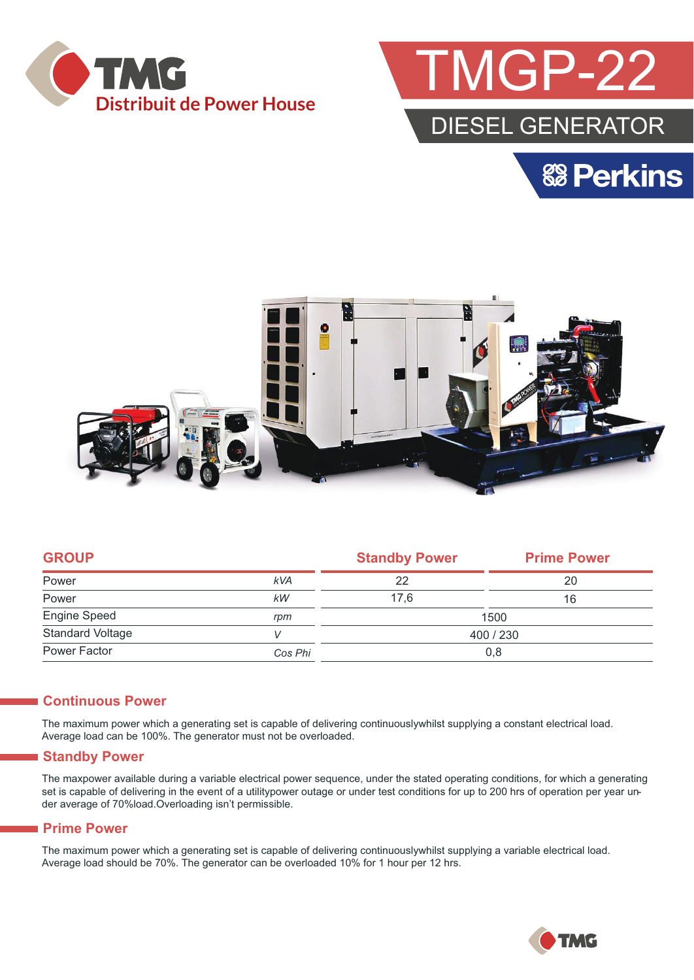



**& Perkins** 



|            | <b>Standby Power</b> | <b>Prime Power</b> |  |
|------------|----------------------|--------------------|--|
| <b>kVA</b> | 22                   | 20                 |  |
| kW         | 17,6                 | 16                 |  |
| rpm        | 1500                 |                    |  |
| V          | 400 / 230            |                    |  |
| Cos Phi    | 0,8                  |                    |  |
|            |                      |                    |  |

#### **Continuous Power**

The maximum power which a generating set is capable of delivering continuouslywhilst supplying a constant electrical load. Average load can be 100%. The generator must not be overloaded.

#### **Standby Power**

The maxpower available during a variable electrical power sequence, under the stated operating conditions, for which a generating set is capable of delivering in the event of a utilitypower outage or under test conditions for up to 200 hrs of operation per year under average of 70%load.Overloading isn't permissible.

#### **Prime Power**

The maximum power which a generating set is capable of delivering continuouslywhilst supplying a variable electrical load. Average load should be 70%. The generator can be overloaded 10% for 1 hour per 12 hrs.

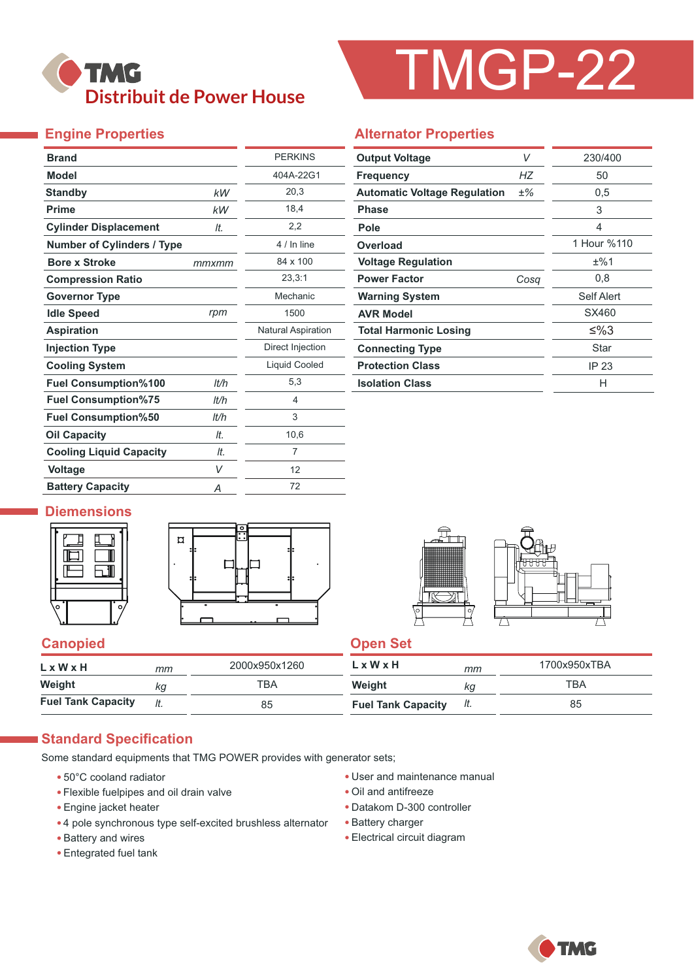## **TMG Distribuit de Power House**

# TMGP-22

#### **Engine Properties**

| <b>Brand</b>                      |       | <b>PERKINS</b>            |
|-----------------------------------|-------|---------------------------|
| <b>Model</b>                      |       | 404A-22G1                 |
| <b>Standby</b>                    | kW    | 20,3                      |
| <b>Prime</b>                      | kW    | 18,4                      |
| <b>Cylinder Displacement</b>      | It.   | 2,2                       |
| <b>Number of Cylinders / Type</b> |       | 4 / In line               |
| <b>Bore x Stroke</b>              | mmxmm | 84 x 100                  |
| <b>Compression Ratio</b>          |       | 23,3:1                    |
| <b>Governor Type</b>              |       | Mechanic                  |
| <b>Idle Speed</b>                 | rpm   | 1500                      |
| <b>Aspiration</b>                 |       | <b>Natural Aspiration</b> |
| <b>Injection Type</b>             |       | Direct Injection          |
| <b>Cooling System</b>             |       | <b>Liquid Cooled</b>      |
| <b>Fuel Consumption%100</b>       | It/h  | 5,3                       |
| <b>Fuel Consumption%75</b>        | lt/h  | 4                         |
| <b>Fuel Consumption%50</b>        | It/h  | 3                         |
| <b>Oil Capacity</b>               | lt.   | 10,6                      |
| <b>Cooling Liquid Capacity</b>    | It.   | 7                         |
| Voltage                           | V     | 12                        |
| <b>Battery Capacity</b>           | Α     | 72                        |

#### **Alternator Properties**

| <b>Output Voltage</b>               | V     | 230/400     |
|-------------------------------------|-------|-------------|
| <b>Frequency</b>                    | НZ    | 50          |
| <b>Automatic Voltage Regulation</b> | $±\%$ | 0,5         |
| <b>Phase</b>                        |       | 3           |
| Pole                                |       | 4           |
| Overload                            |       | 1 Hour %110 |
| <b>Voltage Regulation</b>           |       | ±%1         |
| <b>Power Factor</b>                 | Cosa  | 0,8         |
| <b>Warning System</b>               |       | Self Alert  |
| <b>AVR Model</b>                    |       | SX460       |
| <b>Total Harmonic Losing</b>        |       | ≤%3         |
| <b>Connecting Type</b>              |       | Star        |
| <b>Protection Class</b>             |       | IP 23       |
| <b>Isolation Class</b>              |       | н           |

#### **Diemensions**





#### **Canopied Canopied Canopied**

| $L \times W \times H$     | mm  | 2000x950x1260 | LxWxH                     | mm  | 1700x950xTBA |
|---------------------------|-----|---------------|---------------------------|-----|--------------|
| Weight                    | КQ  | ТВА           | Weight                    | КG  | ТВА          |
| <b>Fuel Tank Capacity</b> | lt. | 85            | <b>Fuel Tank Capacity</b> | It. | 85           |

#### **Standard Specification**

Some standard equipments that TMG POWER provides with generator sets;

- 50°C cooland radiator
- Flexible fuelpipes and oil drain valve
- Engine jacket heater
- 4 pole synchronous type self-excited brushless alternator
- Battery and wires
- Entegrated fuel tank
- User and maintenance manual
- Oil and antifreeze
- Datakom D-300 controller
- Battery charger
- Electrical circuit diagram